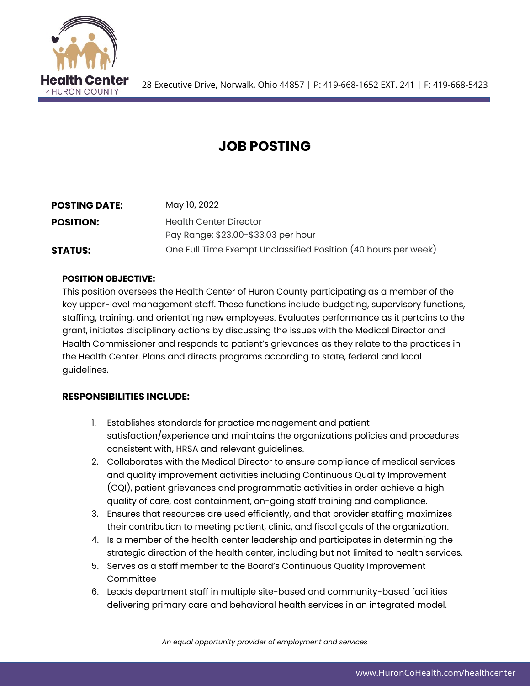

# **JOB POSTING**

| <b>POSTING DATE:</b> | May 10, 2022                                                   |
|----------------------|----------------------------------------------------------------|
| <b>POSITION:</b>     | <b>Health Center Director</b>                                  |
|                      | Pay Range: \$23.00-\$33.03 per hour                            |
| <b>STATUS:</b>       | One Full Time Exempt Unclassified Position (40 hours per week) |

#### **POSITION OBJECTIVE:**

This position oversees the Health Center of Huron County participating as a member of the key upper-level management staff. These functions include budgeting, supervisory functions, staffing, training, and orientating new employees. Evaluates performance as it pertains to the grant, initiates disciplinary actions by discussing the issues with the Medical Director and Health Commissioner and responds to patient's grievances as they relate to the practices in the Health Center. Plans and directs programs according to state, federal and local guidelines.

### **RESPONSIBILITIES INCLUDE:**

- 1. Establishes standards for practice management and patient satisfaction/experience and maintains the organizations policies and procedures consistent with, HRSA and relevant guidelines.
- 2. Collaborates with the Medical Director to ensure compliance of medical services and quality improvement activities including Continuous Quality Improvement (CQI), patient grievances and programmatic activities in order achieve a high quality of care, cost containment, on-going staff training and compliance.
- 3. Ensures that resources are used efficiently, and that provider staffing maximizes their contribution to meeting patient, clinic, and fiscal goals of the organization.
- 4. Is a member of the health center leadership and participates in determining the strategic direction of the health center, including but not limited to health services.
- 5. Serves as a staff member to the Board's Continuous Quality Improvement **Committee**
- 6. Leads department staff in multiple site-based and community-based facilities delivering primary care and behavioral health services in an integrated model.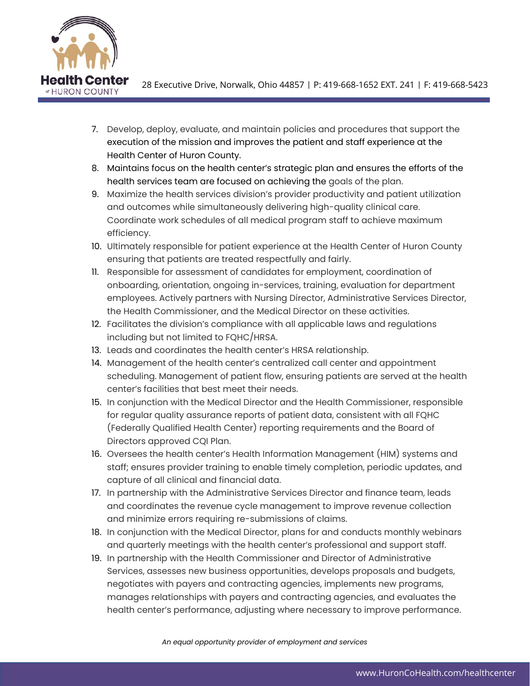

28 Executive Drive, Norwalk, Ohio 44857 | P: 419-668-1652 EXT. 241 | F: 419-668-5423

- 7. Develop, deploy, evaluate, and maintain policies and procedures that support the execution of the mission and improves the patient and staff experience at the Health Center of Huron County.
- 8. Maintains focus on the health center's strategic plan and ensures the efforts of the health services team are focused on achieving the goals of the plan.
- 9. Maximize the health services division's provider productivity and patient utilization and outcomes while simultaneously delivering high-quality clinical care. Coordinate work schedules of all medical program staff to achieve maximum efficiency.
- 10. Ultimately responsible for patient experience at the Health Center of Huron County ensuring that patients are treated respectfully and fairly.
- 11. Responsible for assessment of candidates for employment, coordination of onboarding, orientation, ongoing in-services, training, evaluation for department employees. Actively partners with Nursing Director, Administrative Services Director, the Health Commissioner, and the Medical Director on these activities.
- 12. Facilitates the division's compliance with all applicable laws and regulations including but not limited to FQHC/HRSA.
- 13. Leads and coordinates the health center's HRSA relationship.
- 14. Management of the health center's centralized call center and appointment scheduling. Management of patient flow, ensuring patients are served at the health center's facilities that best meet their needs.
- 15. In conjunction with the Medical Director and the Health Commissioner, responsible for regular quality assurance reports of patient data, consistent with all FQHC (Federally Qualified Health Center) reporting requirements and the Board of Directors approved CQI Plan.
- 16. Oversees the health center's Health Information Management (HIM) systems and staff; ensures provider training to enable timely completion, periodic updates, and capture of all clinical and financial data.
- 17. In partnership with the Administrative Services Director and finance team, leads and coordinates the revenue cycle management to improve revenue collection and minimize errors requiring re-submissions of claims.
- 18. In conjunction with the Medical Director, plans for and conducts monthly webinars and quarterly meetings with the health center's professional and support staff.
- 19. In partnership with the Health Commissioner and Director of Administrative Services, assesses new business opportunities, develops proposals and budgets, negotiates with payers and contracting agencies, implements new programs, manages relationships with payers and contracting agencies, and evaluates the health center's performance, adjusting where necessary to improve performance.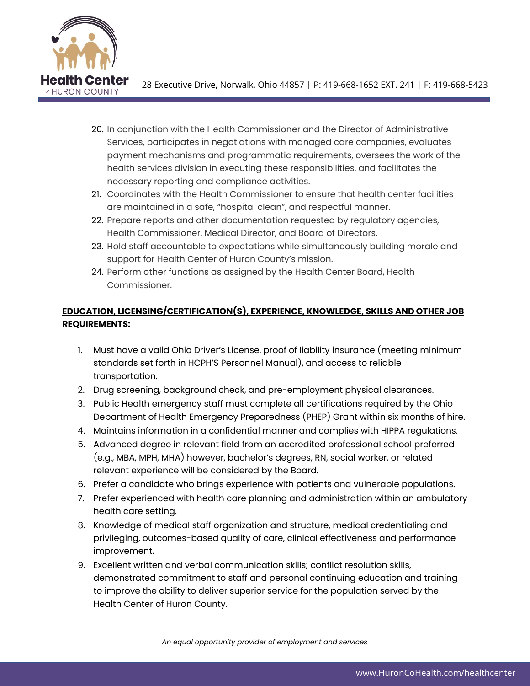

28 Executive Drive, Norwalk, Ohio 44857 | P: 419-668-1652 EXT. 241 | F: 419-668-5423

- 20. In conjunction with the Health Commissioner and the Director of Administrative Services, participates in negotiations with managed care companies, evaluates payment mechanisms and programmatic requirements, oversees the work of the health services division in executing these responsibilities, and facilitates the necessary reporting and compliance activities.
- 21. Coordinates with the Health Commissioner to ensure that health center facilities are maintained in a safe, "hospital clean", and respectful manner.
- 22. Prepare reports and other documentation requested by regulatory agencies, Health Commissioner, Medical Director, and Board of Directors.
- 23. Hold staff accountable to expectations while simultaneously building morale and support for Health Center of Huron County's mission.
- 24. Perform other functions as assigned by the Health Center Board, Health Commissioner.

## **EDUCATION, LICENSING/CERTIFICATION(S), EXPERIENCE, KNOWLEDGE, SKILLS AND OTHER JOB REQUIREMENTS:**

- 1. Must have a valid Ohio Driver's License, proof of liability insurance (meeting minimum standards set forth in HCPH'S Personnel Manual), and access to reliable transportation.
- 2. Drug screening, background check, and pre-employment physical clearances.
- 3. Public Health emergency staff must complete all certifications required by the Ohio Department of Health Emergency Preparedness (PHEP) Grant within six months of hire.
- 4. Maintains information in a confidential manner and complies with HIPPA regulations.
- 5. Advanced degree in relevant field from an accredited professional school preferred (e.g., MBA, MPH, MHA) however, bachelor's degrees, RN, social worker, or related relevant experience will be considered by the Board.
- 6. Prefer a candidate who brings experience with patients and vulnerable populations.
- 7. Prefer experienced with health care planning and administration within an ambulatory health care setting.
- 8. Knowledge of medical staff organization and structure, medical credentialing and privileging, outcomes-based quality of care, clinical effectiveness and performance improvement.
- 9. Excellent written and verbal communication skills; conflict resolution skills, demonstrated commitment to staff and personal continuing education and training to improve the ability to deliver superior service for the population served by the Health Center of Huron County.